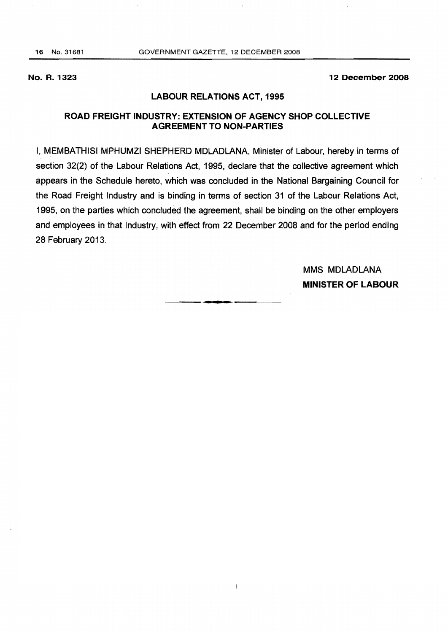#### No. R. 1323 12 December 2008

# LABOUR RELATIONS ACT, 1995

# ROAD FREIGHT INDUSTRY: EXTENSION OF AGENCY SHOP COLLECTIVE AGREEMENT TO NON-PARTIES

I, MEMBATHISI MPHUMZI SHEPHERD MDLADLANA, Minister of Labour, hereby in terms of section 32(2) of the Labour Relations Act, 1995, declare that the collective agreement which appears in the Schedule hereto, which was concluded in the National Bargaining Council for the Road Freight Industry and is binding in terms of section 31 of the Labour Relations Act, 1995, on the parties which concluded the agreement, shall be binding on the other employers and employees in that Industry, with effect from 22 December 2008 and for the period ending 28 February 2013.

.**-.** 

 $\big\}$ 

MMS MDLADLANA MINISTER OF LABOUR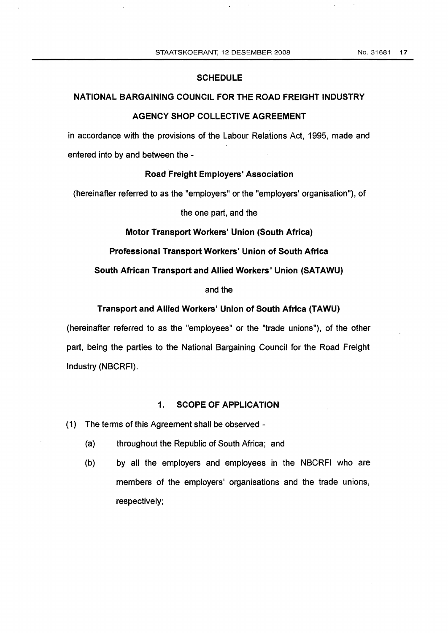#### **SCHEDULE**

# NATIONAL BARGAINING COUNCIL FOR THE ROAD FREIGHT INDUSTRY

## AGENCY SHOP COLLECTIVE AGREEMENT

in accordance with the provisions of the Labour Relations Act, 1995, made and entered into by and between the

#### Road Freight Employers' Association

(hereinafter referred to as the "employers" or the "employers' organisation"), of

# the one part, and the

# Motor Transport Workers' Union (South Africa)

#### Professional Transport Workers' Union of South Africa

## South African Transport and Allied Workers' Union (SATAWU)

# and the

## Transport and Allied Workers' Union of South Africa (TAWU)

(hereinafter referred to as the "employees" or the "trade unions"), of the other part, being the parties to the National Bargaining Council for the Road Freight Industry (NBCRFI).

## 1. SCOPE OF APPLICATION

- (1) The terms of this Agreement shall be observed
	- (a) throughout the Republic of South Africa; and
	- (b) by all the employers and employees in the NBCRFI who are members of the employers' organisations and the trade unions, respectively;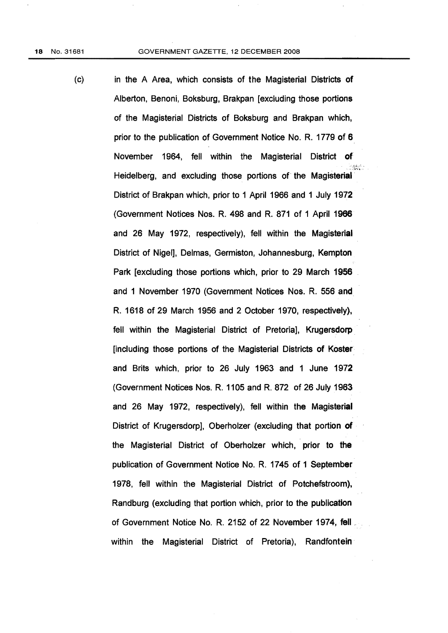(c) in the A Area, which consists of the Magisterial Districts of Alberton, Benoni, Boksburg, Brakpan [excluding those portions of the Magisterial Districts of Boksburg and Brakpan which, prior to the publication of Government Notice No. R. 1779 of 6 November 1964, fell within the Magisterial District of Heidelberg, and excluding those portions of the Magisterial' District of Brakpan which, prior to 1 April 1966 and 1 July 1972 (Government Notices Nos. R. 498 and R. 871 of 1 April 1966 and 26 May 1972, respectively), fell within the Magisterial District of Nigel], Delmas, Germiston, Johannesburg; Kempton Park [excluding those portions which, prior to 29 March 1956 and 1 November 1970 (Government Notices Nos. R. 556 and R. 1618 of 29 March 1956 and 2 October 1970, respectively); fell within the Magisterial District of Pretoria], Krugersdorp [including those portions of the Magisterial Districts of Koster and Brits which, prior to 26 July 1963 and 1 June 1972 (Government Notices Nos. R. 1105 and R. 872 of 26 July 1963 and 26 May 1972, respectively), fell within the Magisterial District of Krugersdorp], Oberholzer (excluding that portion of the Magisterial District of Oberholzer which, prior to the publication of Government Notice No. R. 1745 of 1 September 1978, fell within the Magisterial District of Potchefstroom), Randburg (excluding that portion which, prior to the publication of Government Notice No. R. 2152 of 22 November 1974, fell . within the Magisterial District of Pretoria), Randfontein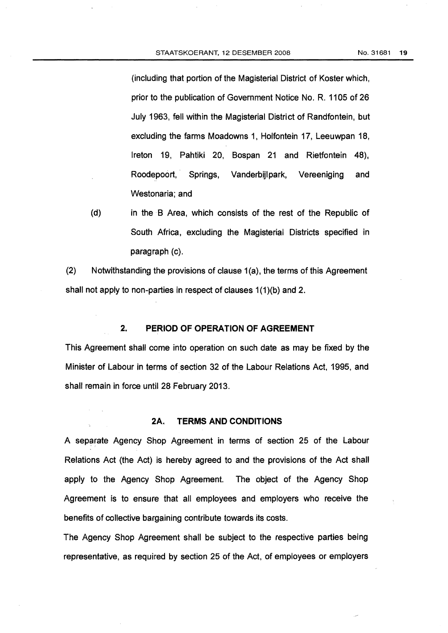(including that portion of the Magisterial District of Koster which, prior to the publication of Government Notice No. R. 1105 of 26 July 1963, fell within the Magisterial District of Randfontein, but excluding the farms Moadowns 1, Holfontein 17, Leeuwpan 18, Ireton 19, Pahtiki 20, Bospan 21 and Rietfontein 48), Roodepoort,' Springs, Vanderbjjlpark, Vereeniging and Westonaria; and

(d) in the B Area, which consists of the rest of the Republic of South Africa, excluding the Magisterial Districts specified in paragraph (c).

 $(2)$  Notwithstanding the provisions of clause 1(a), the terms of this Agreement shall not apply to non-parties in respect of clauses 1{1)(b} and 2.

# 2. **PERIOD OF OPERATION OF AGREEMENT**

This Agreement shall come into operation on such date as may be fixed by the Minister of Labour in terms of section 32 of the Labour Relations Act, 1995, and shall remain in force until 28 February 2013.

#### 2A. **TERMS AND CONDITIONS**

A separate Agency Shop Agreement in terms of section 25 of the Labour Relations Act (the Act) is hereby agreed to and the provisions of the Act shall apply to the Agency Shop Agreement. The object of the Agency Shop Agreement is to ensure that all employees and employers who receive the benefits of collective bargaining contribute towards its costs.

The Agency Shop Agreement shall be subject to the respective parties being representative, as required by section 25 of the Act, of employees or employers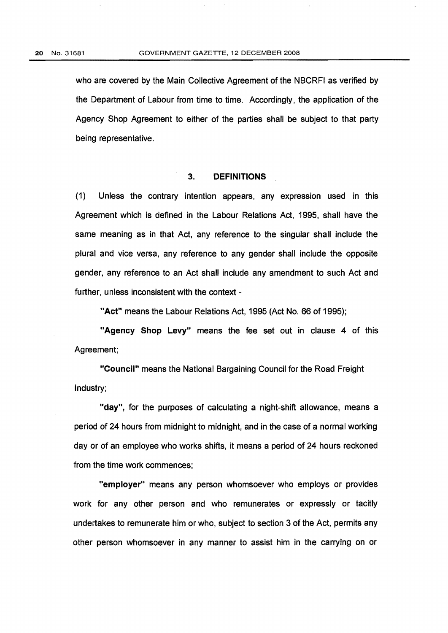who are covered by the Main Collective Agreement of the NBCRFI as verified by the Department of Labour from time to time. Accordingly, the application of the Agency Shop Agreement to either of the parties shall be subject to that party being representative.

#### 3. **DEFINITIONS**

(1) Unless the contrary intention appears, any expression used in this Agreement which is defined in the Labour Relations Act, 1995, shall have the same meaning as in that Act, any reference to the singular shall include the plural and vice versa, any reference to any gender shall include the opposite gender, any reference to an Act shall include any amendment to such Act and further, unless inconsistent with the context -

"Act" means the Labour Relations Act, 1995 (Act No. 66 of 1995);

"Agency Shop Levy" means the fee set out in clause 4 of this Agreement;

"Council" means the National Bargaining Council for the Road Freight Industry;

"day", for the purposes of calculating a night-shift allowance, means a period of 24 hours from midnight to midnight, and in the case of a normal working day or of an employee who works shifts, it means a period of 24 hours reckoned from the time work commences;

"employer" means any person whomsoever who employs or provides work for any other person and who remunerates or expressly or tacitly undertakes to remunerate him or who, subject to section 3 of the Act, permits any other person whomsoever in any manner to assist him in the carrying on or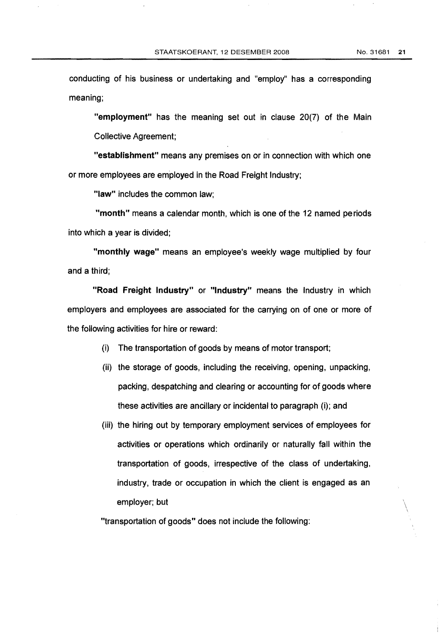$\cdot$ 

conducting of his business or undertaking and "employ" has a corresponding meaning;

"employment" has the meaning set out in clause 20(7) of the Main Collective Agreement;

"establishment" means any premises on or in connection with which one or more employees are employed in the Road Freight Industry;

"law" includes the common law;

"month" means a calendar month, which is one of the 12 named periods into which a year is divided;

"monthly wage" means an employee's weekly wage multiplied by four and a third;

"Road Freight Industry" or "Industry" means the Industry in which employers and employees are associated for the carrying on of one or more of the following activities for hire or reward:

- (i) The transportation of goods by means of motor transport;
- (ii) the storage of goods, including the receiving, opening, unpacking, packing, despatching and clearing or accounting for of goods where these activities are ancillary or incidental to paragraph (i); and
- (iii) the hiring out by temporary employment services of employees for activities or operations which ordinarily or naturally fall within the transportation of goods, irrespective of the class of undertaking, industry, trade or occupation in which the client is engaged as an employer; but \

"transportation of goods" does not include the following: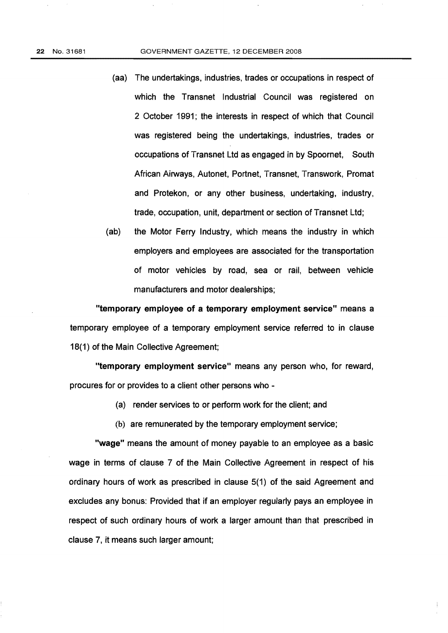- (aa) The undertakings, industries, trades or occupations in respect of which the Transnet Industrial Council was registered on 2 October 1991; the interests in respect of which that Council was registered being the undertakings, industries, trades or occupations of Transnet Ltd as engaged in by Spoornet, South African Airways, Autonet, Portnet, Transnet, Transwork, Promat and Protekon, or any other business, undertaking, industry, trade, occupation, unit, department or section of Transnet Ltd;
- (ab) the Motor Ferry Industry, which means the industry in which employers and employees are associated for the transportation of motor vehicles by road, sea or rail, between vehicle manufacturers and motor dealerships;

"temporary employee of a temporary employment service" means a temporary employee of a temporary employment service referred to in clause 18(1) of the Main Collective Agreement;

"temporary employment service" means any person who, for reward, procures for or provides to a client other persons who

- (a) render services to or perform work for the client; and
- (b) are remunerated by the temporary employment service;

"wage" means the amount of money payable to an employee as a basic wage in terms of clause 7 of the Main Collective Agreement in respect of his ordinary hours of work as prescribed in clause 5(1) of the said Agreement and excludes any bonus: Provided that if an employer regularly pays an employee in respect of such ordinary hours of work a larger amount than that prescribed in clause 7, it means such larger amount;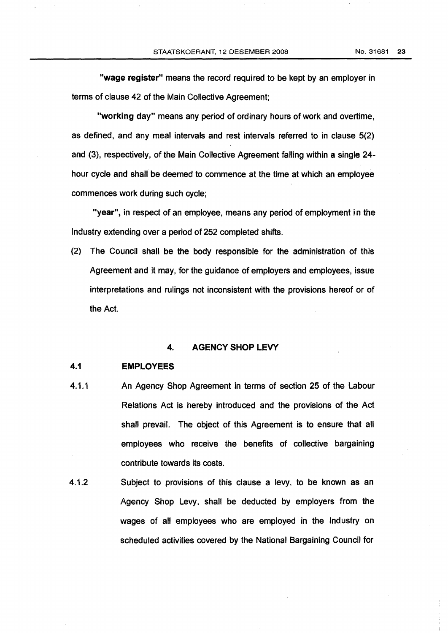"wage register" means the record required to be kept by an employer in terms of clause 42 of the Main Collective Agreement;

"working day" means any period of ordinary hours of work and overtime, as defined, and any meal intervals and rest intervals referred to in clause 5(2) and (3), respectively, of the Main Collective Agreement falling within a single 24 hour cycle and shall be deemed to commence at the time at which an employee commences work during such cycle;

"year", in respect of an employee, means any period of employment in the Industry extending over a period of 252 completed shifts.

(2) The Council shall be the body responsible for the administration of this Agreement and it may, for the guidance of employers and employees, issue interpretations and rulings not inconsistent with the provisions hereof or of the Act.

#### 4. AGENCY SHOP LEVY

## 4.1 EMPLOYEES

- 4.1.1 An Agency Shop Agreement in terms of section 25 of the Labour Relations Act is hereby introduced and the provisions of the Act shall prevail. The object of this Agreement is to ensure that all employees who receive the benefits of collective bargaining contribute towards its costs.
- 4.1.2 Subject to provisions of this clause a levy, to be known as an Agency Shop Levy, shall be deducted by employers from the wages of all employees who are employed in the Industry on scheduled activities covered by the National Bargaining Council for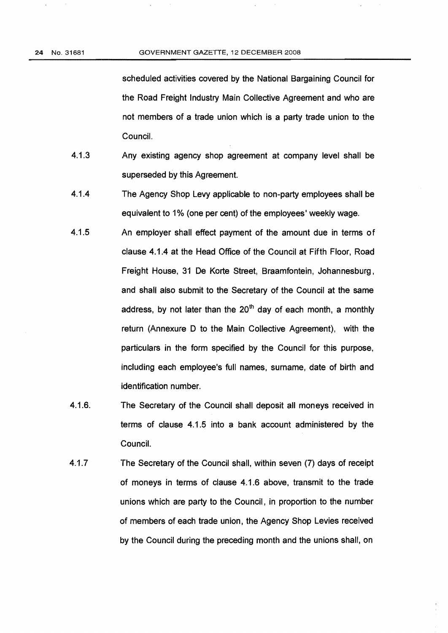scheduled activities covered by the National Bargaining Council for the Road Freight Industry Main Collective Agreement and who are not members of a trade union which is a party trade union to the Council.

- 4.1.3 Any existing agency shop agreement at company level shall be superseded by this Agreement.
- 4.1.4 The Agency Shop Levy applicable to non-party employees shall be equivalent to 1% (one per cent) of the employees' weekly wage.
- 4.1.5 An employer shall effect payment of the amount due in terms of clause 4.1.4 at the Head Office of the Council at Fifth Floor, Road Freight House, 31 De Korte Street, Braamfontein, Johannesburg, and shall also submit to the Secretary of the Council at the same address, by not later than the  $20<sup>th</sup>$  day of each month, a monthly return (Annexure D to the Main Collective Agreement), with the particulars in the form specified by the Council for this purpose, including each employee's full names, surname, date of birth and identification number.
- 4.1.6. The Secretary of the Council shall deposit all moneys received in terms of clause 4.1.5 into a bank account administered by the Council.
- 4.1.7 The Secretary of the Council shall, within seven (7) days of receipt of moneys in terms of clause 4.1.6 above, transmit to the trade unions which are party to the Council, in proportion to the number of members of each trade union, the Agency Shop Levies received by the Council during the preceding month and the unions shall, on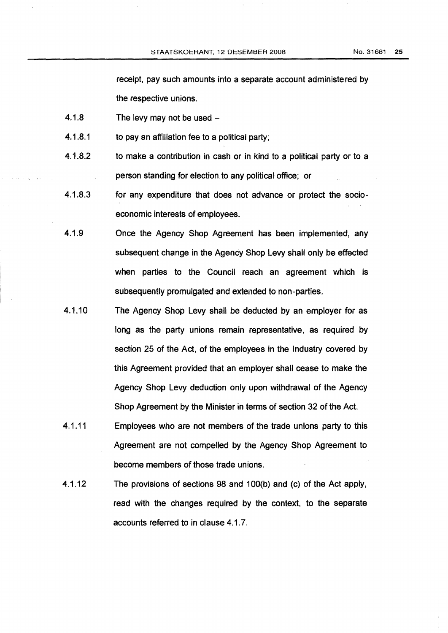receipt, pay such amounts into a separate account administered by the respective unions.

- $4.1.8$  The levy may not be used  $-$
- 4.1.8.1 **to pay an affiliation fee to a political party:**
- 4.1.8.2 to make a contribution in cash or in kind to a political party or to a person standing for election. to any political office; or
- 4.1.8.3 for any expenditure that does not advance or protect the socioeconomic interests of employees.
- 4.1.9 Once the Agency Shop Agreement has been implemented, any subsequent change in the Agency Shop Levy shall only be effected when parties to the Council reach an agreement which is subsequently promulgated and extended to non-parties.
- 4.1.10 The Agency Shop Levy shall be deducted by an employer for as long as the party unions remain representative, as required by section 25 of the Act, of the employees in the Industry covered by this Agreement provided that an employer shall cease to make the Agency Shop Levy deduction only upon withdrawal of the Agency Shop Agreement by the Minister in terms of section 32 of the Act.
- 4.1.11 Employees who are not members of the trade unions party to this Agreement are not compelled by the Agency Shop Agreement to become members of those trade unions.
- 4.1.12 The provisions of sections 98 and 100(b) and (c) of the Act apply, read with the changes required by the context, to the separate accounts referred to in clause 4.1.7.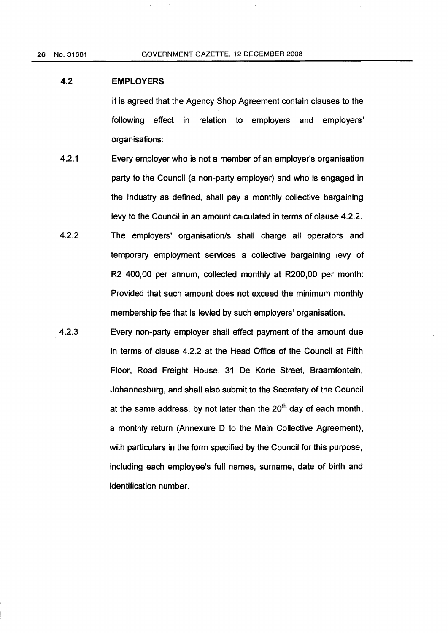26 No. 31681 GOVERNMENT GAZETTE, 12 DECEMBER 2008

# 4.2 **EMPLOYERS**

It is agreed that the Agency Shop Agreement contain clauses to the following effect in relation to employers and employers' organisations:

- 4.2.1 Every employer who is not a member of an employer's organisation party to the Council (a non-party employer) and who is engaged in the Industry as defined, shall pay a monthly collective bargaining levy to the Council in an amount calculated in terms of clause 4.2.2.
- 4.2.2 The employers' organisation/s shall charge all operators and temporary employment services a collective bargaining levy of R2 400,00 per annum, collected monthly at R200,00 per month: Provided that such amount does not exceed the minimum monthly membership fee that is levied by such employers' organisation.
- 4.2.3 Every non-party employer shall effect payment of the amount due in terms of clause 4.2.2 at the Head Office of the Council at Fifth Floor, Road Freight House, 31 De Korte Street, Braamfontein, Johannesburg, and shall also submit to the Secretary of the Council at the same address, by not later than the  $20<sup>th</sup>$  day of each month, a monthly return (Annexure D to the Main Collective Agreement), with particulars in the form specified by the Council for this purpose, including each employee'S full names, surname, date of birth and identification number.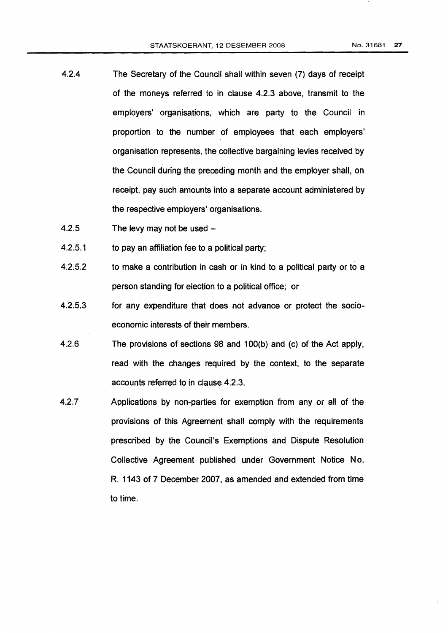- 4.2.4 The Secretary of the Council shall within seven (7) days of receipt of the moneys referred to in clause 4.2.3 above, transmit to the employers' organisations, which are party to the Council in proportion to the number of employees that each employers' organisation represents, the collective bargaining levies received by the Council during the preceding month and the employer shall, on receipt, pay such amounts into a separate account administered by the respective employers' organisations.
- 4.2.5 The levy may not be used  $-$
- 4.2.5.1 to pay an affiliation fee to a pOlitical party;
- 4.2.5.2 to make a contribution in cash or in kind to a political party or to a person standing for election to a political office; or
- 4.2.5.3 for any expenditure that does not advance or protect the socioeconomic interests of their members.
- 4.2.6 The provisions of sections 98 and 100(b) and (c) of the Act apply, read with the changes required by the context, to the separate accounts referred to in clause 4.2.3.
- 4.2.7 Applications by non-parties for exemption from any or all of the provisions of this Agreement shall comply with the requirements prescribed by the Council's Exemptions and Dispute Resolution Collective Agreement published under Government Notice No. R. 1143 of 7 December 2007, as amended and extended from time to time.